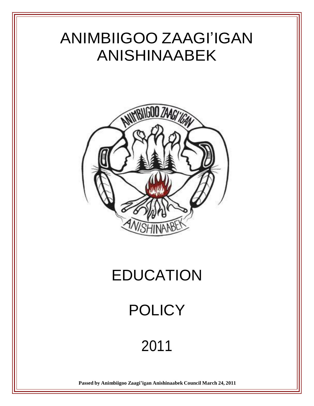

2011

**Passed by Animbiigoo Zaagi'igan Anishinaabek Council March 24, 2011**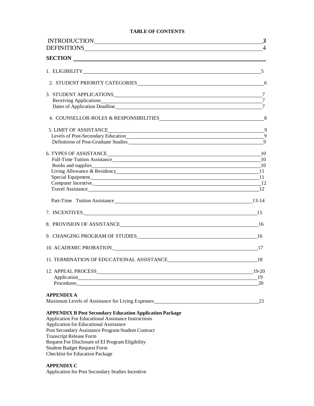#### **TABLE OF CONTENTS**

| INTRODUCTION                                                                         | $\boldsymbol{\beta}$ |
|--------------------------------------------------------------------------------------|----------------------|
|                                                                                      | $\overline{4}$       |
|                                                                                      |                      |
| 1. ELIGIBILITY 5                                                                     |                      |
|                                                                                      |                      |
|                                                                                      |                      |
| Receiving Applications 27                                                            |                      |
| Dates of Application Deadline experience and the state of Application Deadline       |                      |
| 4. COUNSELLOR-ROLES & RESPONSIBILITIES 8                                             |                      |
|                                                                                      | - 9                  |
| Levels of Post-Secondary Education 19                                                |                      |
|                                                                                      | $\overline{9}$       |
| 6. TYPES OF ASSISTANCE <sup>10</sup>                                                 |                      |
| Full-Time Tuition Assistance 10                                                      |                      |
|                                                                                      |                      |
|                                                                                      |                      |
|                                                                                      |                      |
|                                                                                      |                      |
| Travel Assistance 12                                                                 |                      |
| Part-Time Tuition Assistance 13-14                                                   |                      |
|                                                                                      |                      |
| 8. PROVISION OF ASSISTANCE 16                                                        |                      |
| 9. CHANGING PROGRAM OF STUDIES 16                                                    |                      |
| 17 10. ACADEMIC PROBATION                                                            |                      |
|                                                                                      |                      |
| 12. APPEAL PROCESS                                                                   | 19-20                |
|                                                                                      | 19                   |
| Procedures_                                                                          | 20                   |
|                                                                                      |                      |
| <b>APPENDIX A</b><br>Maximum Levels of Assistance for Living Expenses                | 21                   |
|                                                                                      |                      |
| <b>APPENDIX B Post Secondary Education Application Package</b>                       |                      |
| <b>Application For Educational Assistance Instructions</b>                           |                      |
| Application for Educational Assistance                                               |                      |
| Post Secondary Assistance Program Student Contract<br><b>Transcript Release Form</b> |                      |
| Request For Disclosure of EI Program Eligibility                                     |                      |
|                                                                                      |                      |

Student Budget Request Form Checklist for Education Package

#### **APPENDIX C**

Application for Post Secondary Studies Incentive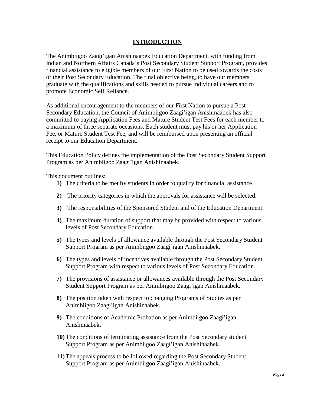# **INTRODUCTION**

The Animbiigoo Zaagi'igan Anishinaabek Education Department, with funding from Indian and Northern Affairs Canada's Post Secondary Student Support Program, provides financial assistance to eligible members of our First Nation to be used towards the costs of their Post Secondary Education. The final objective being, to have our members graduate with the qualifications and skills needed to pursue individual careers and to promote Economic Self Reliance.

As additional encouragement to the members of our First Nation to pursue a Post Secondary Education, the Council of Animbiigoo Zaagi'igan Anishinaabek has also committed to paying Application Fees and Mature Student Test Fees for each member to a maximum of three separate occasions. Each student must pay his or her Application Fee, or Mature Student Test Fee, and will be reimbursed upon presenting an official receipt to our Education Department.

This Education Policy defines the implementation of the Post Secondary Student Support Program as per Animbiigoo Zaagi'igan Anishinaabek.

This document outlines:

- **1)** The criteria to be met by students in order to qualify for financial assistance.
- **2)** The priority categories in which the approvals for assistance will be selected.
- **3)** The responsibilities of the Sponsored Student and of the Education Department.
- **4)** The maximum duration of support that may be provided with respect to various levels of Post Secondary Education.
- **5)** The types and levels of allowance available through the Post Secondary Student Support Program as per Animbiigoo Zaagi'igan Anishinaabek.
- **6)** The types and levels of incentives available through the Post Secondary Student Support Program with respect to various levels of Post Secondary Education.
- **7)** The provisions of assistance or allowances available through the Post Secondary Student Support Program as per Animbiigoo Zaagi'igan Anishinaabek.
- **8)** The position taken with respect to changing Programs of Studies as per Animbiigoo Zaagi'igan Anishinaabek.
- **9)** The conditions of Academic Probation as per Animbiigoo Zaagi'igan Anishinaabek.
- **10)** The conditions of terminating assistance from the Post Secondary student Support Program as per Animbiigoo Zaagi'igan Anishinaabek.
- **11)** The appeals process to be followed regarding the Post Secondary Student Support Program as per Animbiigoo Zaagi'igan Anishinaabek.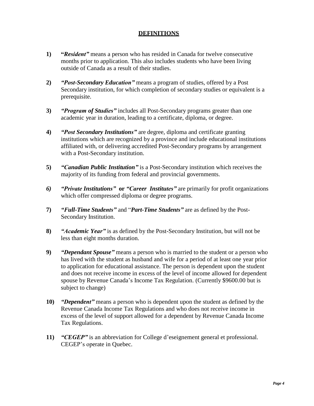# **DEFINITIONS**

- **1) "***Resident"* means a person who has resided in Canada for twelve consecutive months prior to application. This also includes students who have been living outside of Canada as a result of their studies.
- **2)** *"Post-Secondary Education"* means a program of studies, offered by a Post Secondary institution, for which completion of secondary studies or equivalent is a prerequisite.
- **3)** *"Program of Studies"* includes all Post-Secondary programs greater than one academic year in duration, leading to a certificate, diploma, or degree.
- **4)** *"Post Secondary Institutions"* are degree, diploma and certificate granting institutions which are recognized by a province and include educational institutions affiliated with, or delivering accredited Post-Secondary programs by arrangement with a Post-Secondary institution.
- **5)** *"Canadian Public Institution"* is a Post-Secondary institution which receives the majority of its funding from federal and provincial governments.
- *6) "Private Institutions"* **or** *"Career Institutes"* are primarily for profit organizations which offer compressed diploma or degree programs.
- **7)** *"Full-Time Students"* and "*Part-Time Students"* are as defined by the Post-Secondary Institution.
- **8)** *"Academic Year"* is as defined by the Post-Secondary Institution, but will not be less than eight months duration.
- **9)** *"Dependant Spouse"* means a person who is married to the student or a person who has lived with the student as husband and wife for a period of at least one year prior to application for educational assistance. The person is dependent upon the student and does not receive income in excess of the level of income allowed for dependent spouse by Revenue Canada's Income Tax Regulation. (Currently \$9600.00 but is subject to change)
- **10)** *"Dependent"* means a person who is dependent upon the student as defined by the Revenue Canada Income Tax Regulations and who does not receive income in excess of the level of support allowed for a dependent by Revenue Canada Income Tax Regulations.
- **11)** *"CEGEP"* is an abbreviation for College d'eseignement general et professional. CEGEP's operate in Quebec.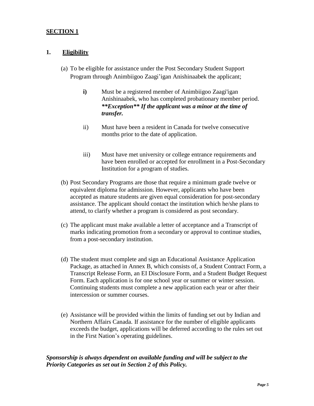# **1. Eligibility**

- (a) To be eligible for assistance under the Post Secondary Student Support Program through Animbiigoo Zaagi'igan Anishinaabek the applicant;
	- **i**) Must be a registered member of Animbiigoo Zaagi'igan Anishinaabek, who has completed probationary member period. *\*\*Exception\*\* If the applicant was a minor at the time of transfer.*
	- ii) Must have been a resident in Canada for twelve consecutive months prior to the date of application.
	- iii) Must have met university or college entrance requirements and have been enrolled or accepted for enrollment in a Post-Secondary Institution for a program of studies.
- (b) Post Secondary Programs are those that require a minimum grade twelve or equivalent diploma for admission. However, applicants who have been accepted as mature students are given equal consideration for post-secondary assistance. The applicant should contact the institution which he/she plans to attend, to clarify whether a program is considered as post secondary.
- (c) The applicant must make available a letter of acceptance and a Transcript of marks indicating promotion from a secondary or approval to continue studies, from a post-secondary institution.
- (d) The student must complete and sign an Educational Assistance Application Package, as attached in Annex B, which consists of, a Student Contract Form, a Transcript Release Form, an EI Disclosure Form, and a Student Budget Request Form. Each application is for one school year or summer or winter session. Continuing students must complete a new application each year or after their intercession or summer courses.
- (e) Assistance will be provided within the limits of funding set out by Indian and Northern Affairs Canada. If assistance for the number of eligible applicants exceeds the budget, applications will be deferred according to the rules set out in the First Nation's operating guidelines.

# *Sponsorship is always dependent on available funding and will be subject to the Priority Categories as set out in Section 2 of this Policy.*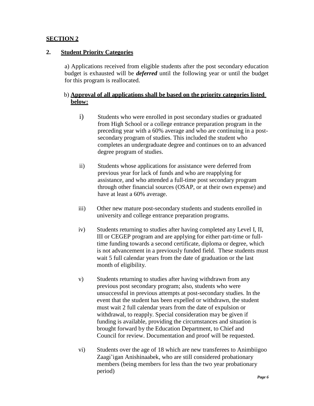# **2. Student Priority Categories**

a) Applications received from eligible students after the post secondary education budget is exhausted will be *deferred* until the following year or until the budget for this program is reallocated.

# b) **Approval of all applications shall be based on the priority categories listed below:**

- i) Students who were enrolled in post secondary studies or graduated from High School or a college entrance preparation program in the preceding year with a 60% average and who are continuing in a postsecondary program of studies. This included the student who completes an undergraduate degree and continues on to an advanced degree program of studies.
- ii) Students whose applications for assistance were deferred from previous year for lack of funds and who are reapplying for assistance, and who attended a full-time post secondary program through other financial sources (OSAP, or at their own expense) and have at least a 60% average.
- iii) Other new mature post-secondary students and students enrolled in university and college entrance preparation programs.
- iv) Students returning to studies after having completed any Level I, II, III or CEGEP program and are applying for either part-time or fulltime funding towards a second certificate, diploma or degree, which is not advancement in a previously funded field. These students must wait 5 full calendar years from the date of graduation or the last month of eligibility.
- v) Students returning to studies after having withdrawn from any previous post secondary program; also, students who were unsuccessful in previous attempts at post-secondary studies. In the event that the student has been expelled or withdrawn, the student must wait 2 full calendar years from the date of expulsion or withdrawal, to reapply. Special consideration may be given if funding is available, providing the circumstances and situation is brought forward by the Education Department, to Chief and Council for review. Documentation and proof will be requested.
- vi) Students over the age of 18 which are new transferees to Animbiigoo Zaagi'igan Anishinaabek, who are still considered probationary members (being members for less than the two year probationary period)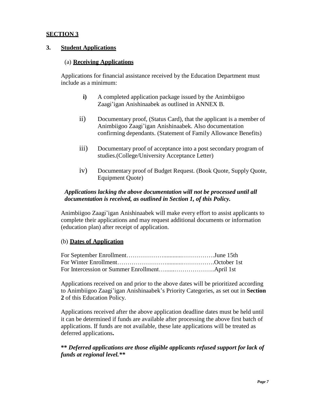## **3. Student Applications**

#### (a) **Receiving Applications**

Applications for financial assistance received by the Education Department must include as a minimum:

- **i)** A completed application package issued by the Animbiigoo Zaagi'igan Anishinaabek as outlined in ANNEX B.
- ii) Documentary proof, (Status Card), that the applicant is a member of Animbiigoo Zaagi'igan Anishinaabek. Also documentation confirming dependants. (Statement of Family Allowance Benefits)
- iii) Documentary proof of acceptance into a post secondary program of studies.(College/University Acceptance Letter)
- iv) Documentary proof of Budget Request. (Book Quote, Supply Quote, Equipment Quote)

# *Applications lacking the above documentation will not be processed until all documentation is received, as outlined in Section 1, of this Policy.*

Animbiigoo Zaagi'igan Anishinaabek will make every effort to assist applicants to complete their applications and may request additional documents or information (education plan) after receipt of application.

#### (b) **Dates of Application**

Applications received on and prior to the above dates will be prioritized according to Animbiigoo Zaagi'igan Anishinaabek's Priority Categories, as set out in **Section 2** of this Education Policy.

Applications received after the above application deadline dates must be held until it can be determined if funds are available after processing the above first batch of applications. If funds are not available, these late applications will be treated as deferred applications**.**

# **\*\*** *Deferred applications are those eligible applicants refused support for lack of funds at regional level.\*\**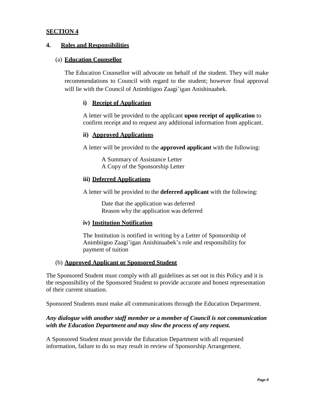# **4. Roles and Responsibilities**

# (a) **Education Counsellor**

The Education Counsellor will advocate on behalf of the student. They will make recommendations to Council with regard to the student; however final approval will lie with the Council of Animbiigoo Zaagi'igan Anishinaabek.

# **i) Receipt of Application**

A letter will be provided to the applicant **upon receipt of application** to confirm receipt and to request any additional information from applicant.

#### **ii) Approved Applications**

A letter will be provided to the **approved applicant** with the following:

A Summary of Assistance Letter A Copy of the Sponsorship Letter

#### **iii) Deferred Applications**

A letter will be provided to the **deferred applicant** with the following:

Date that the application was deferred Reason why the application was deferred

# **iv) Institution Notification**

The Institution is notified in writing by a Letter of Sponsorship of Animbiigoo Zaagi'igan Anishinaabek's role and responsibility for payment of tuition

#### (b) **Approved Applicant or Sponsored Student**

The Sponsored Student must comply with all guidelines as set out in this Policy and it is the responsibility of the Sponsored Student to provide accurate and honest representation of their current situation.

Sponsored Students must make all communications through the Education Department.

# *Any dialogue with another staff member or a member of Council is not communication with the Education Department and may slow the process of any request.*

A Sponsored Student must provide the Education Department with all requested information, failure to do so may result in review of Sponsorship Arrangement.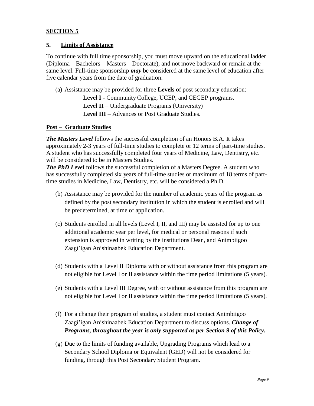# **5. Limits of Assistance**

To continue with full time sponsorship, you must move upward on the educational ladder (Diploma – Bachelors – Masters – Doctorate), and not move backward or remain at the same level. Full-time sponsorship *may* be considered at the same level of education after five calendar years from the date of graduation.

(a) Assistance may be provided for three **Levels** of post secondary education:

**Level I** - Community College, UCEP, and CEGEP programs. **Level II** – Undergraduate Programs (University)

**Level III** – Advances or Post Graduate Studies.

#### **Post – Graduate Studies**

*The Masters Level* follows the successful completion of an Honors B.A. It takes approximately 2-3 years of full-time studies to complete or 12 terms of part-time studies. A student who has successfully completed four years of Medicine, Law, Dentistry, etc. will be considered to be in Masters Studies.

*The PhD Level* follows the successful completion of a Masters Degree. A student who has successfully completed six years of full-time studies or maximum of 18 terms of parttime studies in Medicine, Law, Dentistry, etc. will be considered a Ph.D.

- (b) Assistance may be provided for the number of academic years of the program as defined by the post secondary institution in which the student is enrolled and will be predetermined, at time of application.
- (c) Students enrolled in all levels (Level I, II, and III) may be assisted for up to one additional academic year per level, for medical or personal reasons if such extension is approved in writing by the institutions Dean, and Animbiigoo Zaagi'igan Anishinaabek Education Department.
- (d) Students with a Level II Diploma with or without assistance from this program are not eligible for Level I or II assistance within the time period limitations (5 years).
- (e) Students with a Level III Degree, with or without assistance from this program are not eligible for Level I or II assistance within the time period limitations (5 years).
- (f) For a change their program of studies, a student must contact Animbiigoo Zaagi'igan Anishinaabek Education Department to discuss options. *Change of Programs, throughout the year is only supported as per Section 9 of this Policy.*
- (g) Due to the limits of funding available, Upgrading Programs which lead to a Secondary School Diploma or Equivalent (GED) will not be considered for funding, through this Post Secondary Student Program.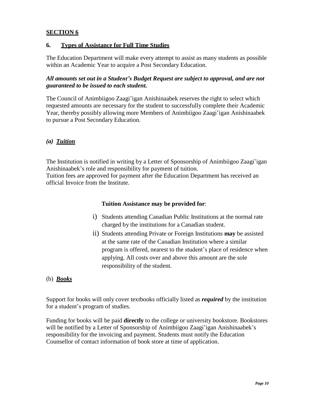# **6. Types of Assistance for Full Time Studies**

The Education Department will make every attempt to assist as many students as possible within an Academic Year to acquire a Post Secondary Education.

# *All amounts set out in a Student's Budget Request are subject to approval, and are not guaranteed to be issued to each student.*

The Council of Animbiigoo Zaagi'igan Anishinaabek reserves the right to select which requested amounts are necessary for the student to successfully complete their Academic Year, thereby possibly allowing more Members of Animbiigoo Zaagi'igan Anishinaabek to pursue a Post Secondary Education.

# *(a) Tuition*

The Institution is notified in writing by a Letter of Sponsorship of Animbiigoo Zaagi'igan Anishinaabek's role and responsibility for payment of tuition.

Tuition fees are approved for payment after the Education Department has received an official Invoice from the Institute.

#### **Tuition Assistance may be provided for**:

- i) Students attending Canadian Public Institutions at the normal rate charged by the institutions for a Canadian student.
- ii) Students attending Private or Foreign Institutions **may** be assisted at the same rate of the Canadian Institution where a similar program is offered, nearest to the student's place of residence when applying. All costs over and above this amount are the sole responsibility of the student.

# (b) *Books*

Support for books will only cover textbooks officially listed as *required* by the institution for a student's program of studies.

Funding for books will be paid **directly** to the college or university bookstore. Bookstores will be notified by a Letter of Sponsorship of Animbiigoo Zaagi'igan Anishinaabek's responsibility for the invoicing and payment. Students must notify the Education Counsellor of contact information of book store at time of application.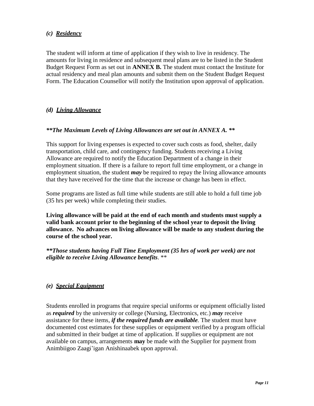# *(c) Residency*

The student will inform at time of application if they wish to live in residency. The amounts for living in residence and subsequent meal plans are to be listed in the Student Budget Request Form as set out in **ANNEX B.** The student must contact the Institute for actual residency and meal plan amounts and submit them on the Student Budget Request Form. The Education Counsellor will notify the Institution upon approval of application.

# *(d) Living Allowance*

# *\*\*The Maximum Levels of Living Allowances are set out in ANNEX A. \*\**

This support for living expenses is expected to cover such costs as food, shelter, daily transportation, child care, and contingency funding. Students receiving a Living Allowance are required to notify the Education Department of a change in their employment situation. If there is a failure to report full time employment, or a change in employment situation, the student *may* be required to repay the living allowance amounts that they have received for the time that the increase or change has been in effect.

Some programs are listed as full time while students are still able to hold a full time job (35 hrs per week) while completing their studies.

**Living allowance will be paid at the end of each month and students must supply a valid bank account prior to the beginning of the school year to deposit the living allowance. No advances on living allowance will be made to any student during the course of the school year.**

*\*\*Those students having Full Time Employment (35 hrs of work per week) are not eligible to receive Living Allowance benefits*. \*\*

# *(e) Special Equipment*

Students enrolled in programs that require special uniforms or equipment officially listed as *required* by the university or college (Nursing, Electronics, etc.) *may* receive assistance for these items, *if the required funds are available.* The student must have documented cost estimates for these supplies or equipment verified by a program official and submitted in their budget at time of application. If supplies or equipment are not available on campus, arrangements **may** be made with the Supplier for payment from Animbiigoo Zaagi'igan Anishinaabek upon approval.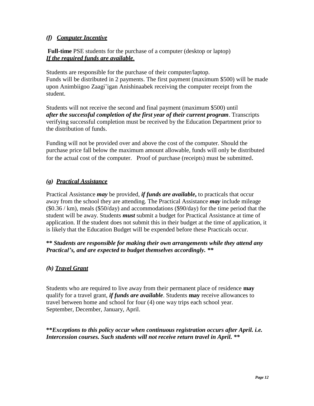# *(f) Computer Incentive*

**Full-time** PSE students for the purchase of a computer (desktop or laptop) *If the required funds are available*.

Students are responsible for the purchase of their computer/laptop. Funds will be distributed in 2 payments. The first payment (maximum \$500) will be made upon Animbiigoo Zaagi'igan Anishinaabek receiving the computer receipt from the student.

Students will not receive the second and final payment (maximum \$500) until *after the successful completion of the first year of their current program*. Transcripts verifying successful completion must be received by the Education Department prior to the distribution of funds.

Funding will not be provided over and above the cost of the computer. Should the purchase price fall below the maximum amount allowable, funds will only be distributed for the actual cost of the computer. Proof of purchase (receipts) must be submitted.

# *(g) Practical Assistance*

Practical Assistance *may* be provided, *if funds are available***,** to practicals that occur away from the school they are attending. The Practical Assistance *may* include mileage (\$0.36 / km), meals (\$50/day) and accommodations (\$90/day) for the time period that the student will be away. Students *must* submit a budget for Practical Assistance at time of application. If the student does not submit this in their budget at the time of application, it is likely that the Education Budget will be expended before these Practicals occur.

**\*\*** *Students are responsible for making their own arrangements while they attend any Practical's, and are expected to budget themselves accordingly. \*\**

# *(h) Travel Grant*

Students who are required to live away from their permanent place of residence **may**  qualify for a travel grant, *if funds are available*. Students **may** receive allowances to travel between home and school for four (4) one way trips each school year. September, December, January, April.

**\*\****Exceptions to this policy occur when continuous registration occurs after April. i.e. Intercession courses. Such students will not receive return travel in April. \*\**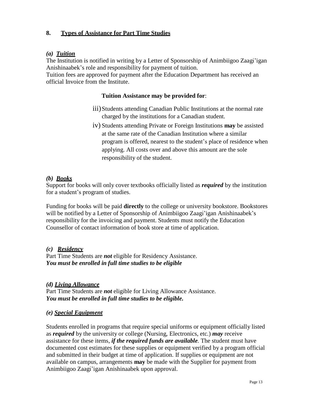# **8. Types of Assistance for Part Time Studies**

#### *(a) Tuition*

The Institution is notified in writing by a Letter of Sponsorship of Animbiigoo Zaagi'igan Anishinaabek's role and responsibility for payment of tuition.

Tuition fees are approved for payment after the Education Department has received an official Invoice from the Institute.

#### **Tuition Assistance may be provided for**:

- iii)Students attending Canadian Public Institutions at the normal rate charged by the institutions for a Canadian student.
- iv) Students attending Private or Foreign Institutions **may** be assisted at the same rate of the Canadian Institution where a similar program is offered, nearest to the student's place of residence when applying. All costs over and above this amount are the sole responsibility of the student.

#### *(b) Books*

Support for books will only cover textbooks officially listed as *required* by the institution for a student's program of studies.

Funding for books will be paid **directly** to the college or university bookstore. Bookstores will be notified by a Letter of Sponsorship of Animbiigoo Zaagi'igan Anishinaabek's responsibility for the invoicing and payment. Students must notify the Education Counsellor of contact information of book store at time of application.

#### *(c) Residency*

Part Time Students are *not* eligible for Residency Assistance. *You must be enrolled in full time studies to be eligible*

#### *(d) Living Allowance*

Part Time Students are *not* eligible for Living Allowance Assistance. *You must be enrolled in full time studies to be eligible.*

#### *(e) Special Equipment*

Students enrolled in programs that require special uniforms or equipment officially listed as *required* by the university or college (Nursing, Electronics, etc.) *may* receive assistance for these items, *if the required funds are available.* The student must have documented cost estimates for these supplies or equipment verified by a program official and submitted in their budget at time of application. If supplies or equipment are not available on campus, arrangements **may** be made with the Supplier for payment from Animbiigoo Zaagi'igan Anishinaabek upon approval.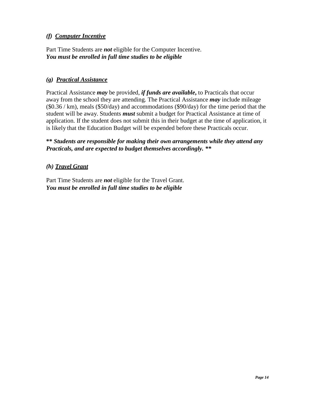# *(f) Computer Incentive*

Part Time Students are *not* eligible for the Computer Incentive. *You must be enrolled in full time studies to be eligible*

# *(g) Practical Assistance*

Practical Assistance *may* be provided, *if funds are available***,** to Practicals that occur away from the school they are attending. The Practical Assistance *may* include mileage (\$0.36 / km), meals (\$50/day) and accommodations (\$90/day) for the time period that the student will be away. Students *must* submit a budget for Practical Assistance at time of application. If the student does not submit this in their budget at the time of application, it is likely that the Education Budget will be expended before these Practicals occur.

# **\*\*** *Students are responsible for making their own arrangements while they attend any Practicals, and are expected to budget themselves accordingly. \*\**

# *(h) Travel Grant*

Part Time Students are *not* eligible for the Travel Grant. *You must be enrolled in full time studies to be eligible*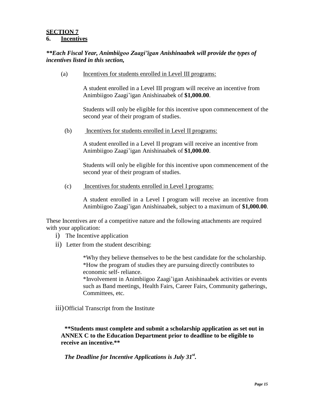#### **SECTION 7 6. Incentives**

# *\*\*Each Fiscal Year, Animbiigoo Zaagi'igan Anishinaabek will provide the types of incentives listed in this section,*

(a) Incentives for students enrolled in Level III programs:

A student enrolled in a Level III program will receive an incentive from Animbiigoo Zaagi'igan Anishinaabek of **\$1,000.00**.

Students will only be eligible for this incentive upon commencement of the second year of their program of studies.

(b) Incentives for students enrolled in Level II programs:

A student enrolled in a Level II program will receive an incentive from Animbiigoo Zaagi'igan Anishinaabek of **\$1,000.00**.

Students will only be eligible for this incentive upon commencement of the second year of their program of studies.

(c) Incentives for students enrolled in Level I programs:

A student enrolled in a Level I program will receive an incentive from Animbiigoo Zaagi'igan Anishinaabek, subject to a maximum of **\$1,000.00**.

These Incentives are of a competitive nature and the following attachments are required with your application:

- i) The Incentive application
- ii) Letter from the student describing:

\*Why they believe themselves to be the best candidate for the scholarship. \*How the program of studies they are pursuing directly contributes to economic self- reliance.

\*Involvement in Animbiigoo Zaagi'igan Anishinaabek activities or events such as Band meetings, Health Fairs, Career Fairs, Community gatherings, Committees, etc.

iii)Official Transcript from the Institute

**\*\*Students must complete and submit a scholarship application as set out in ANNEX C to the Education Department prior to deadline to be eligible to receive an incentive.\*\***

# The Deadline for Incentive Applications is July 31<sup>st</sup>.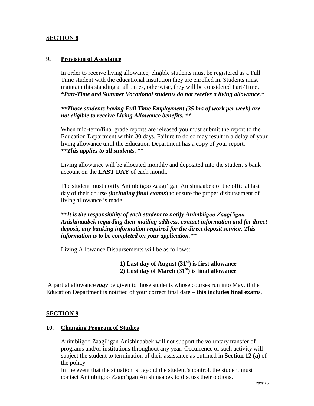# **9. Provision of Assistance**

In order to receive living allowance, eligible students must be registered as a Full Time student with the educational institution they are enrolled in. Students must maintain this standing at all times, otherwise, they will be considered Part-Time. \**Part-Time and Summer Vocational students do not receive a living allowance*.\*

*\*\*Those students having Full Time Employment (35 hrs of work per week) are not eligible to receive Living Allowance benefits. \*\**

When mid-term/final grade reports are released you must submit the report to the Education Department within 30 days. Failure to do so may result in a delay of your living allowance until the Education Department has a copy of your report. \*\**This applies to all students*. \*\*

Living allowance will be allocated monthly and deposited into the student's bank account on the **LAST DAY** of each month.

The student must notify Animbiigoo Zaagi'igan Anishinaabek of the official last day of their course *(including final exams*) to ensure the proper disbursement of living allowance is made.

*\*\*It is the responsibility of each student to notify Animbiigoo Zaagi'igan Anishinaabek regarding their mailing address, contact information and for direct deposit, any banking information required for the direct deposit service. This information is to be completed on your application.\*\**

Living Allowance Disbursements will be as follows:

# **1) Last day of August (31st) is first allowance 2) Last day of March (31 st) is final allowance**

A partial allowance *may* be given to those students whose courses run into May, if the Education Department is notified of your correct final date – **this includes final exams**.

#### **SECTION 9**

#### **10. Changing Program of Studies**

Animbiigoo Zaagi'igan Anishinaabek will not support the voluntary transfer of programs and/or institutions throughout any year. Occurrence of such activity will subject the student to termination of their assistance as outlined in **Section 12 (a)** of the policy.

In the event that the situation is beyond the student's control, the student must contact Animbiigoo Zaagi'igan Anishinaabek to discuss their options.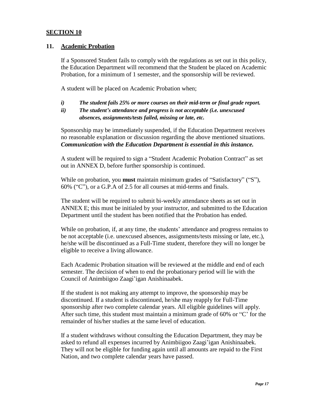#### **11. Academic Probation**

If a Sponsored Student fails to comply with the regulations as set out in this policy, the Education Department will recommend that the Student be placed on Academic Probation, for a minimum of 1 semester, and the sponsorship will be reviewed.

A student will be placed on Academic Probation when;

- *i) The student fails 25% or more courses on their mid-term or final grade report.*
- *ii) The student's attendance and progress is not acceptable (i.e. unexcused absences, assignments/tests failed, missing or late, etc.*

Sponsorship may be immediately suspended, if the Education Department receives no reasonable explanation or discussion regarding the above mentioned situations. *Communication with the Education Department is essential in this instance.*

A student will be required to sign a "Student Academic Probation Contract" as set out in ANNEX D, before further sponsorship is continued.

While on probation, you **must** maintain minimum grades of "Satisfactory" ("S"), 60% ("C"), or a G.P.A of 2.5 for all courses at mid-terms and finals.

The student will be required to submit bi-weekly attendance sheets as set out in ANNEX E; this must be initialed by your instructor, and submitted to the Education Department until the student has been notified that the Probation has ended.

While on probation, if, at any time, the students' attendance and progress remains to be not acceptable (i.e. unexcused absences, assignments/tests missing or late, etc.), he/she will be discontinued as a Full-Time student, therefore they will no longer be eligible to receive a living allowance.

Each Academic Probation situation will be reviewed at the middle and end of each semester. The decision of when to end the probationary period will lie with the Council of Animbiigoo Zaagi'igan Anishinaabek.

If the student is not making any attempt to improve, the sponsorship may be discontinued. If a student is discontinued, he/she may reapply for Full-Time sponsorship after two complete calendar years. All eligible guidelines will apply. After such time, this student must maintain a minimum grade of 60% or "C' for the remainder of his/her studies at the same level of education.

If a student withdraws without consulting the Education Department, they may be asked to refund all expenses incurred by Animbiigoo Zaagi'igan Anishinaabek. They will not be eligible for funding again until all amounts are repaid to the First Nation, and two complete calendar years have passed.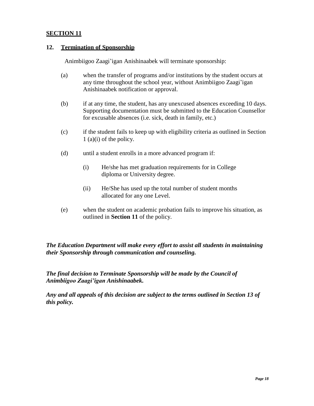#### **12. Termination of Sponsorship**

Animbiigoo Zaagi'igan Anishinaabek will terminate sponsorship:

- (a) when the transfer of programs and/or institutions by the student occurs at any time throughout the school year, without Animbiigoo Zaagi'igan Anishinaabek notification or approval.
- (b) if at any time, the student, has any unexcused absences exceeding 10 days. Supporting documentation must be submitted to the Education Counsellor for excusable absences (i.e. sick, death in family, etc.)
- (c) if the student fails to keep up with eligibility criteria as outlined in Section 1 (a)(i) of the policy.
- (d) until a student enrolls in a more advanced program if:
	- (i) He/she has met graduation requirements for in College diploma or University degree.
	- (ii) He/She has used up the total number of student months allocated for any one Level.
- (e) when the student on academic probation fails to improve his situation, as outlined in **Section 11** of the policy.

*The Education Department will make every effort to assist all students in maintaining their Sponsorship through communication and counseling.*

*The final decision to Terminate Sponsorship will be made by the Council of Animbiigoo Zaagi'igan Anishinaabek.*

*Any and all appeals of this decision are subject to the terms outlined in Section 13 of this policy.*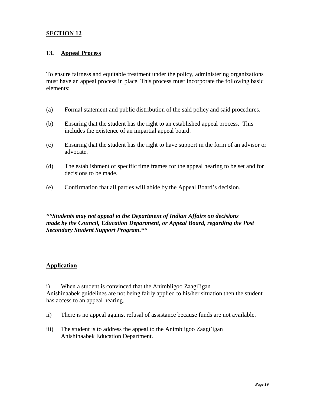#### **13. Appeal Process**

To ensure fairness and equitable treatment under the policy, administering organizations must have an appeal process in place. This process must incorporate the following basic elements:

- (a) Formal statement and public distribution of the said policy and said procedures.
- (b) Ensuring that the student has the right to an established appeal process. This includes the existence of an impartial appeal board.
- (c) Ensuring that the student has the right to have support in the form of an advisor or advocate.
- (d) The establishment of specific time frames for the appeal hearing to be set and for decisions to be made.
- (e) Confirmation that all parties will abide by the Appeal Board's decision.

# *\*\*Students may not appeal to the Department of Indian Affairs on decisions made by the Council, Education Department, or Appeal Board, regarding the Post Secondary Student Support Program.\*\**

#### **Application**

i) When a student is convinced that the Animbiigoo Zaagi'igan Anishinaabek guidelines are not being fairly applied to his/her situation then the student has access to an appeal hearing.

- ii) There is no appeal against refusal of assistance because funds are not available.
- iii) The student is to address the appeal to the Animbiigoo Zaagi'igan Anishinaabek Education Department.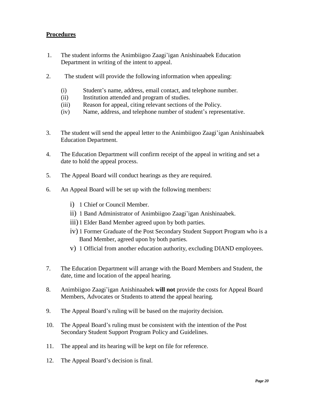# **Procedures**

- 1. The student informs the Animbiigoo Zaagi'igan Anishinaabek Education Department in writing of the intent to appeal.
- 2. The student will provide the following information when appealing:
	- (i) Student's name, address, email contact, and telephone number.
	- (ii) Institution attended and program of studies.
	- (iii) Reason for appeal, citing relevant sections of the Policy.
	- (iv) Name, address, and telephone number of student's representative.
- 3. The student will send the appeal letter to the Animbiigoo Zaagi'igan Anishinaabek Education Department.
- 4. The Education Department will confirm receipt of the appeal in writing and set a date to hold the appeal process.
- 5. The Appeal Board will conduct hearings as they are required.
- 6. An Appeal Board will be set up with the following members:
	- i) 1 Chief or Council Member.
	- ii) 1 Band Administrator of Animbiigoo Zaagi'igan Anishinaabek.
	- iii) 1 Elder Band Member agreed upon by both parties.
	- iv) 1 Former Graduate of the Post Secondary Student Support Program who is a Band Member, agreed upon by both parties.
	- v) 1 Official from another education authority, excluding DIAND employees.
- 7. The Education Department will arrange with the Board Members and Student, the date, time and location of the appeal hearing.
- 8. Animbiigoo Zaagi'igan Anishinaabek **will not** provide the costs for Appeal Board Members, Advocates or Students to attend the appeal hearing.
- 9. The Appeal Board's ruling will be based on the majority decision.
- 10. The Appeal Board's ruling must be consistent with the intention of the Post Secondary Student Support Program Policy and Guidelines.
- 11. The appeal and its hearing will be kept on file for reference.
- 12. The Appeal Board's decision is final.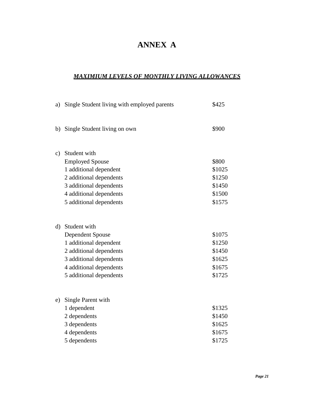# **ANNEX A**

# *MAXIMIUM LEVELS OF MONTHLY LIVING ALLOWANCES*

| a)            | Single Student living with employed parents | \$425  |
|---------------|---------------------------------------------|--------|
|               |                                             |        |
| b)            | Single Student living on own                | \$900  |
|               |                                             |        |
| $\mathbf{c})$ | Student with                                |        |
|               | <b>Employed Spouse</b>                      | \$800  |
|               | 1 additional dependent                      | \$1025 |
|               | 2 additional dependents                     | \$1250 |
|               | 3 additional dependents                     | \$1450 |
|               | 4 additional dependents                     | \$1500 |
|               | 5 additional dependents                     | \$1575 |
|               |                                             |        |
|               |                                             |        |
| $\rm d)$      | Student with                                |        |
|               | <b>Dependent Spouse</b>                     | \$1075 |
|               | 1 additional dependent                      | \$1250 |
|               | 2 additional dependents                     | \$1450 |
|               | 3 additional dependents                     | \$1625 |
|               | 4 additional dependents                     | \$1675 |
|               | 5 additional dependents                     | \$1725 |
|               |                                             |        |
| e)            | Single Parent with                          |        |
|               | 1 dependent                                 | \$1325 |
|               | 2 dependents                                | \$1450 |
|               | 3 dependents                                | \$1625 |
|               | 4 dependents                                | \$1675 |
|               | 5 dependents                                | \$1725 |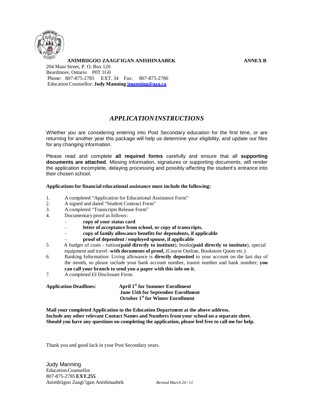

**ANIMBIIGOO ZAAGI'IGAN ANISHINAABEK ANNEX B** 204 Main Street, P. O. Box 120 Beardmore, Ontario P0T 1G0 Phone: 807-875-2785 EXT. 34 Fax: 807-875-2786 Education Counsellor: **Judy Manning [jmanning@aza.ca](mailto:jmanning@aza.ca)**

# *APPLICATIONINSTRUCTIONS*

Whether you are considering entering into Post Secondary education for the first time, or are returning for another year this package will help us determine your eligibility, and update our files for any changing information.

Please read and complete **all required forms** carefully and ensure that all **supporting documents are attached**. Missing information, signatures or supporting documents, will render the application incomplete, delaying processing and possibly affecting the student's entrance into their chosen school.

#### **Applications for financial educational assistance must include the following:**

- 1. A completed "Application for Educational Assistance Form"
- 2. A signed and dated "Student Contract Form"
- 3. A completed "Transcripts Release Form"
- 4. Documentary proof as follows:
	- **copy of your status card**
	- **letter of acceptance from school, or copy of transcripts.**
	- **copy of family allowance benefits for dependents, if applicable**
	- **proof of dependent / employed spouse, if applicable**
- 5 A budget of costs tuition(**paid directly to institute**), books(**paid directly to institute**), special equipment and travel -**with documents of proof,** (Course Outline, Bookstore Quote etc.)
- 6. Banking Information: Living allowance is **directly deposited** to your account on the last day of the month, so please include your bank account number, transit number and bank number; **you can call your branch to send you a paper with this info on it.**
- 7. A completed EI Disclosure Form.

| <b>Application Deadlines:</b> | <b>April 1st for Summer Enrollment</b>    |
|-------------------------------|-------------------------------------------|
|                               | <b>June 15th for September Enrollment</b> |
|                               | <b>October 1st for Winter Enrollment</b>  |

**Mail your completed Application to the Education Department at the above address. Include any other relevant Contact Names and Numbers from your school on a separate sheet. Should you have any questions on completing the application, please feel free to call me for help.**

Thank you and good luck in your Post Secondary years.

Judy Manning EducationCounsellor 807-875-2785 **EXT.255** Animbiigoo Zaagi'igan Anishinaabek *Revised March 24 / 11*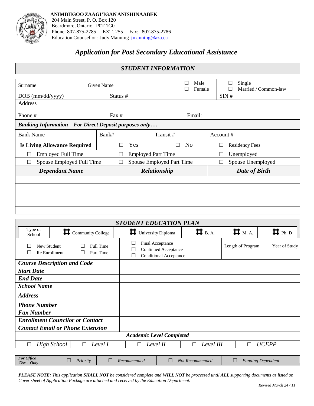

# *Application for Post Secondary Educational Assistance*

| <b>STUDENT INFORMATION</b>                                    |  |                                 |  |        |                             |                                     |  |
|---------------------------------------------------------------|--|---------------------------------|--|--------|-----------------------------|-------------------------------------|--|
| Male<br>Given Name<br>Surname<br>Female                       |  |                                 |  |        |                             | Single<br>П<br>Married / Common-law |  |
| $DOB$ (mm/dd/yyyy)                                            |  | Status #                        |  |        |                             | SIN#                                |  |
| Address                                                       |  |                                 |  |        |                             |                                     |  |
| Phone #                                                       |  | Fax $#$                         |  | Email: |                             |                                     |  |
| <b>Banking Information - For Direct Deposit purposes only</b> |  |                                 |  |        |                             |                                     |  |
| <b>Bank Name</b>                                              |  | Bank#<br>Transit #              |  |        |                             | Account#                            |  |
| <b>Is Living Allowance Required</b>                           |  | Yes<br>N <sub>0</sub><br>Г<br>П |  |        |                             | <b>Residency Fees</b><br>$\Box$     |  |
| <b>Employed Full Time</b><br>×                                |  | <b>Employed Part Time</b>       |  |        | Unemployed<br>$\Box$        |                                     |  |
| Spouse Employed Full Time<br>×                                |  | Spouse Employed Part Time       |  |        | Spouse Unemployed<br>$\Box$ |                                     |  |
| <b>Dependant Name</b>                                         |  | Relationship                    |  |        | Date of Birth               |                                     |  |
|                                                               |  |                                 |  |        |                             |                                     |  |
|                                                               |  |                                 |  |        |                             |                                     |  |
|                                                               |  |                                 |  |        |                             |                                     |  |
|                                                               |  |                                 |  |        |                             |                                     |  |
|                                                               |  |                                 |  |        |                             |                                     |  |

| <b>STUDENT EDUCATION PLAN</b>                          |                                                                                                           |                   |   |                         |                                                              |                      |                      |                          |
|--------------------------------------------------------|-----------------------------------------------------------------------------------------------------------|-------------------|---|-------------------------|--------------------------------------------------------------|----------------------|----------------------|--------------------------|
| Type of<br>School                                      |                                                                                                           | Community College |   | Д<br>University Diploma |                                                              | $\blacksquare$ B. A. | $\blacksquare$ M. A. | $\blacksquare$ Ph. D     |
| Full Time<br>New Student<br>Re Enrollment<br>Part Time |                                                                                                           |                   |   | Final Acceptance        | <b>Continued Acceptance</b><br><b>Conditional Acceptance</b> |                      | Length of Program    | Year of Study            |
| <b>Course Description and Code</b>                     |                                                                                                           |                   |   |                         |                                                              |                      |                      |                          |
| <b>Start Date</b>                                      |                                                                                                           |                   |   |                         |                                                              |                      |                      |                          |
| <b>End Date</b>                                        |                                                                                                           |                   |   |                         |                                                              |                      |                      |                          |
| <b>School Name</b>                                     |                                                                                                           |                   |   |                         |                                                              |                      |                      |                          |
| <b>Address</b>                                         |                                                                                                           |                   |   |                         |                                                              |                      |                      |                          |
| <b>Phone Number</b>                                    |                                                                                                           |                   |   |                         |                                                              |                      |                      |                          |
| <b>Fax Number</b>                                      |                                                                                                           |                   |   |                         |                                                              |                      |                      |                          |
| <b>Enrollment Councilor or Contact</b>                 |                                                                                                           |                   |   |                         |                                                              |                      |                      |                          |
| <b>Contact Email or Phone Extension</b>                |                                                                                                           |                   |   |                         |                                                              |                      |                      |                          |
|                                                        | <b>Academic Level Completed</b>                                                                           |                   |   |                         |                                                              |                      |                      |                          |
|                                                        | <b>High School</b><br>Level I<br>Level II<br>Level III<br><b>UCEPP</b><br>$\Box$<br>$\Box$<br>П<br>$\Box$ |                   |   |                         |                                                              |                      |                      |                          |
|                                                        |                                                                                                           |                   |   |                         |                                                              |                      |                      |                          |
| <b>For Office</b><br>$Use - Only$                      |                                                                                                           | Priority          | Ш | Recommended             | $\Box$                                                       | Not Recommended      | ⊔                    | <b>Funding Dependent</b> |

PLEASE NOTE: This application SHALL NOT be considered complete and WILL NOT be processed until ALL supporting documents as listed on *Cover sheet of Application Package are attached and received by the Education Department.*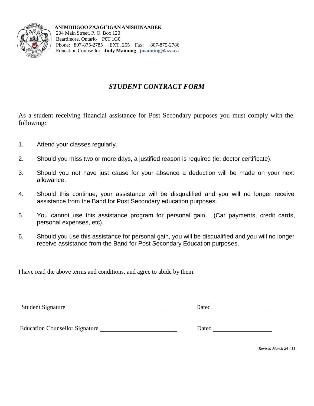

**ANIMBIIGOO ZAAGI'IGAN ANISHINAABEK** 204 Main Street, P. O. Box 120 Beardmore, Ontario P0T 1G0 Phone: 807-875-2785 EXT. 255 Fax: 807-875-2786 Education Counsellor: **Judy Manning [jmanning@aza.ca](mailto:jmanning@aza.ca)**

# *STUDENT CONTRACT FORM*

As a student receiving financial assistance for Post Secondary purposes you must comply with the following:

- 1. Attend your classes regularly.
- 2. Should you miss two or more days, a justified reason is required (ie: doctor certificate).
- 3. Should you not have just cause for your absence a deduction will be made on your next allowance.
- 4. Should this continue, your assistance will be disqualified and you will no longer receive assistance from the Band for Post Secondary education purposes.
- 5. You cannot use this assistance program for personal gain. (Car payments, credit cards, personal expenses, etc).
- 6. Should you use this assistance for personal gain, you will be disqualified and you will no longer receive assistance from the Band for Post Secondary Education purposes.

I have read the above terms and conditions, and agree to abide by them.

Student Signature Dated

Education Counsellor Signature Dated

*Revised March 24 / 11*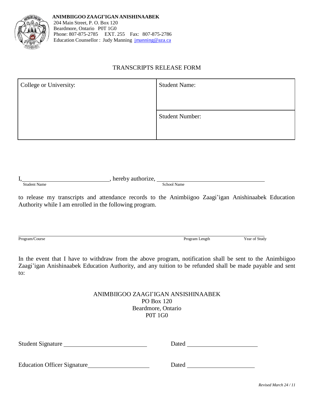

# TRANSCRIPTS RELEASE FORM

| College or University: | <b>Student Name:</b>   |
|------------------------|------------------------|
|                        | <b>Student Number:</b> |

| л.           | $\sim$ $   \sim$ $-$<br>1 I t |
|--------------|-------------------------------|
| Student Name | Name<br>school.               |

to release my transcripts and attendance records to the Animbiigoo Zaagi'igan Anishinaabek Education Authority while I am enrolled in the following program.

Program/Course Program Length Year of Study

In the event that I have to withdraw from the above program, notification shall be sent to the Animbiigoo Zaagi'igan Anishinaabek Education Authority, and any tuition to be refunded shall be made payable and sent to:

# ANIMBIIGOO ZAAGI'IGAN ANSISHINAABEK PO Box 120 Beardmore, Ontario P0T 1G0

| Student Signature                  | Dated |  |
|------------------------------------|-------|--|
|                                    |       |  |
| <b>Education Officer Signature</b> | Dated |  |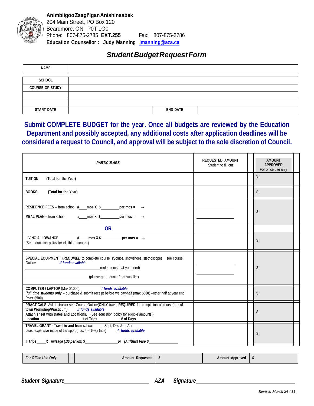

# *StudentBudgetRequestForm*

| <b>NAME</b>            |                 |
|------------------------|-----------------|
|                        |                 |
| <b>SCHOOL</b>          |                 |
| <b>COURSE OF STUDY</b> |                 |
|                        |                 |
|                        |                 |
| <b>START DATE</b>      | <b>END DATE</b> |

# **Submit COMPLETE BUDGET for the year. Once all budgets are reviewed by the Education Department and possibly accepted, any additional costs after application deadlines will be considered a request to Council, and approval will be subject to the sole discretion of Council.**

| <b>PARTICULARS</b>                                                                                                                                                                                                                                                                                               | <b>REQUESTED AMOUNT</b><br>Student to fill out | <b>AMOUNT</b><br><b>APPROVED</b><br>For office use only |
|------------------------------------------------------------------------------------------------------------------------------------------------------------------------------------------------------------------------------------------------------------------------------------------------------------------|------------------------------------------------|---------------------------------------------------------|
| <b>TUITION</b><br>(Total for the Year)                                                                                                                                                                                                                                                                           |                                                | $\mathbb{S}$                                            |
| <b>BOOKS</b><br>(Total for the Year)                                                                                                                                                                                                                                                                             |                                                | $\mathbb{S}$                                            |
| <b>RESIDENCE FEES</b> – from school # mos $X$ \$ per mos = $\rightarrow$<br><b>MEAL PLAN - from school <math>\qquad \qquad # \qquad \text{mos X } \$ \qquad \qquad \text{per mos =} \qquad \rightarrow</math></b>                                                                                                |                                                | \$                                                      |
| <b>OR</b>                                                                                                                                                                                                                                                                                                        |                                                |                                                         |
| LIVING ALLOWANCE $\qquad$ # mos X \$ per mos = $\rightarrow$<br>(See education policy for eligible amounts.)                                                                                                                                                                                                     |                                                | \$                                                      |
| SPECIAL EQUIPMENT (REQUIRED to complete course (Scrubs, snowshoes, stethoscope) see course<br>if funds available<br>Outline<br>(enter items that you need)<br>(please get a quote from supplier)                                                                                                                 |                                                | \$                                                      |
| if funds available<br><b>COMPUTER / LAPTOP (Max \$1000)</b><br>(full time students only - purchase & submit receipt before we pay-half (max \$500) -other half at year end<br>(max \$500).                                                                                                                       |                                                | \$                                                      |
| PRACTICALS-Ask instructor-see Course Outline(ONLY travel REQUIRED for completion of course(out of<br>if funds available<br>town Workshop/Practicum)<br>Attach sheet with Dates and Locations. (See education policy for eligible amounts.)<br># of Trips<br># of Days ______________<br><b>Location Location</b> |                                                | \$                                                      |
| <b>TRAVEL GRANT - Travel to and from school</b><br>Sept, Dec Jan, Apr<br>Least expensive mode of transport (max 4 - 1way trips) if funds available<br>X mileage (.36 per km) \$ ________________________or (Air/Bus) Fare \$<br># Trips                                                                          |                                                | \$                                                      |

| For Office Use Only | <b>Amount Requested</b> | <b>Amount Approved</b> |  |
|---------------------|-------------------------|------------------------|--|
|                     |                         |                        |  |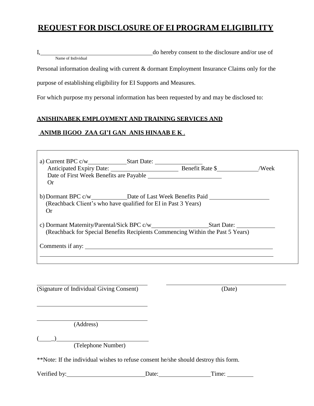# **REQUEST FOR DISCLOSURE OF EI PROGRAM ELIGIBILITY**

I, do hereby consent to the disclosure and/or use of Name of Individual

Personal information dealing with current & dormant Employment Insurance Claims only for the

purpose of establishing eligibility for EI Supports and Measures.

For which purpose my personal information has been requested by and may be disclosed to:

# **ANISHINABEK EMPLOYMENT AND TRAINING SERVICES AND**

# **ANIMB IIGOO ZAA GI'I GAN ANIS HINAAB E K** .

| Or                                                                                                 |  |  |  |  |  |  |  |
|----------------------------------------------------------------------------------------------------|--|--|--|--|--|--|--|
| (Reachback Client's who have qualified for EI in Past 3 Years)<br>Or                               |  |  |  |  |  |  |  |
| (Reachback for Special Benefits Recipients Commencing Within the Past 5 Years)<br>Comments if any: |  |  |  |  |  |  |  |

(Signature of Individual Giving Consent) (Date)

(Address)

 $(\_\_)$ 

(Telephone Number)

\*\*Note: If the individual wishes to refuse consent he/she should destroy this form.

Verified by: Date: Date: Time: Time: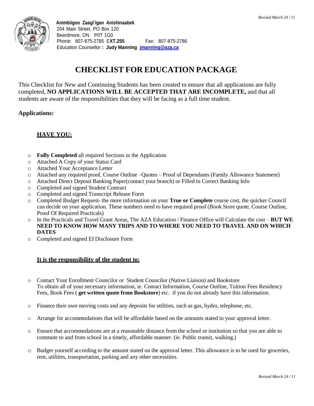

# **CHECKLIST FOR EDUCATION PACKAGE**

This Checklist for New and Continuing Students has been created to ensure that all applications are fully completed, **NO APPLICATIONS WILL BE ACCEPTED THAT ARE INCOMPLETE,** and that all students are aware of the responsibilities that they will be facing as a full time student.

# **Applications:**

#### **HAVE YOU:**

- o **Fully Completed** all required Sections in the Application
- o Attached A Copy of your Status Card
- o Attached Your Acceptance Letter
- o Attached any required proof, Course Outline –Quotes Proof of Dependants (Family Allowance Statement)
- o Attached Direct Deposit Banking Paper(contact your branch) or Filled in Correct Banking Info
- o Completed and signed Student Contract
- o Completed and signed Transcript Release Form
- o Completed Budget Request- the more information on your **True or Complete** course cost, the quicker Council can decide on your application. These numbers need to have required proof (Book Store quote, Course Outline, Proof Of Required Practicals)
- o In the Practicals and Travel Grant Areas, The AZA Education / Finance Office will Calculate the cost **BUT WE NEED TO KNOW HOW MANY TRIPS AND TO WHERE YOU NEED TO TRAVEL AND ON WHICH DATES**
- o Completed and signed EI Disclosure Form

#### **It is the responsibility of the student to:**

- o Contact Your Enrollment Councilor or Student Councilor (Native Liaison) and Bookstore To obtain all of your necessary information, ie. Contact Information, Course Outline, Tuition Fees Residency Fees, Book Fees ( **get written quote from Bookstore**) etc. if you do not already have this information.
- o Finance their own moving costs and any deposits for utilities, such as gas, hydro, telephone, etc.
- o Arrange for accommodations that will be affordable based on the amounts stated in your approval letter.
- Ensure that accommodations are at a reasonable distance from the school or institution so that you are able to commute to and from school in a timely, affordable manner. (ie. Public transit, walking.)
- o Budget yourself according to the amount stated on the approval letter. This allowance is to be used for groceries, rent, utilities, transportation, parking and any other necessities.